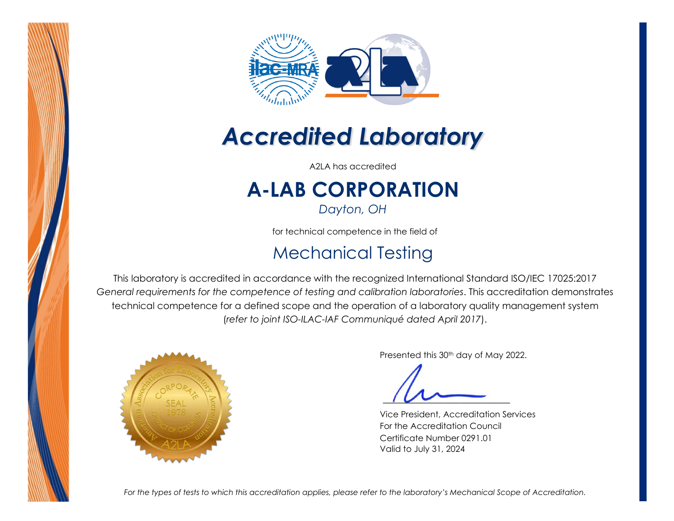



## *Accredited Laboratory*

A2LA has accredited

# **A-LAB CORPORATION**

*Dayton, OH* 

for technical competence in the field of

### Mechanical Testing

This laboratory is accredited in accordance with the recognized International Standard ISO/IEC 17025:2017 *General requirements for the competence of testing and calibration laboratories*. This accreditation demonstrates technical competence for a defined scope and the operation of a laboratory quality management system (*refer to joint ISO-ILAC-IAF Communiqué dated April 2017*).



Presented this 30<sup>th</sup> day of May 2022.

Vice President, Accreditation Services For the Accreditation Council Certificate Number 0291.01 Valid to July 31, 2024

*For the types of tests to which this accreditation applies, please refer to the laboratory's Mechanical Scope of Accreditation.*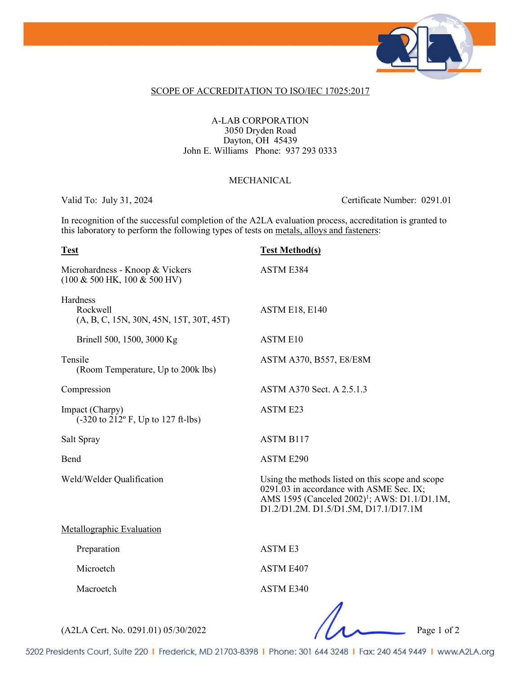

#### SCOPE OF ACCREDITATION TO ISO/IEC 17025:2017

#### A-LAB CORPORATION 3050 Dryden Road Dayton, OH 45439 John E. Williams Phone: 937 293 0333

#### MECHANICAL.

Valid To: July 31, 2024 Certificate Number: 0291.01

In recognition of the successful completion of the A2LA evaluation process, accreditation is granted to this laboratory to perform the following types of tests on metals, alloys and fasteners:

### **Test Test Method(s)** Microhardness - Knoop & Vickers ASTM E384 (100 & 500 HK, 100 & 500 HV) Hardness Rockwell ASTM E18, E140 (A, B, C, 15N, 30N, 45N, 15T, 30T, 45T) Brinell 500, 1500, 3000 Kg ASTM E10 Tensile ASTM A370, B557, E8/E8M (Room Temperature, Up to 200k lbs) Compression ASTM A370 Sect. A 2.5.1.3 Impact (Charpy) ASTM E23  $(-320 \text{ to } 212^{\circ} \text{ F}, \text{Up to } 127 \text{ ft-lbs})$ Salt Spray ASTM B117 Bend ASTM E290 Weld/Welder Qualification Using the methods listed on this scope and scope 0291.03 in accordance with ASME Sec. IX; AMS 1595 (Canceled 2002)<sup>1</sup>; AWS: D1.1/D1.1M, D1.2/D1.2M. D1.5/D1.5M, D17.1/D17.1M Metallographic Evaluation Preparation ASTM E3 Microetch ASTM E407 Macroetch ASTM E340

(A2LA Cert. No. 0291.01) 05/30/2022 Page 1 of 2

5202 Presidents Court, Suite 220 | Frederick, MD 21703-8398 | Phone: 301 644 3248 | Fax: 240 454 9449 | www.A2LA.org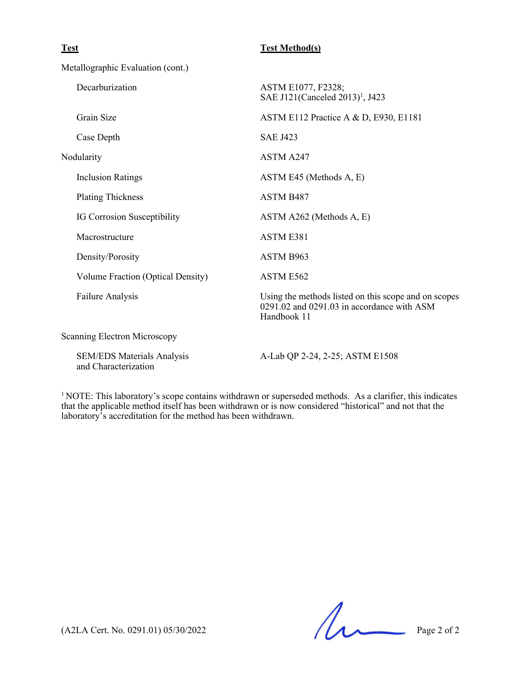| <b>Test</b>                                               | <b>Test Method(s)</b>                                                                                             |
|-----------------------------------------------------------|-------------------------------------------------------------------------------------------------------------------|
| Metallographic Evaluation (cont.)                         |                                                                                                                   |
| Decarburization                                           | ASTM E1077, F2328;<br>SAE J121(Canceled 2013) <sup>1</sup> , J423                                                 |
| Grain Size                                                | ASTM E112 Practice A & D, E930, E1181                                                                             |
| Case Depth                                                | <b>SAE J423</b>                                                                                                   |
| Nodularity                                                | ASTM A247                                                                                                         |
| <b>Inclusion Ratings</b>                                  | ASTM E45 (Methods A, E)                                                                                           |
| <b>Plating Thickness</b>                                  | ASTM B <sub>487</sub>                                                                                             |
| IG Corrosion Susceptibility                               | ASTM A262 (Methods A, E)                                                                                          |
| Macrostructure                                            | <b>ASTM E381</b>                                                                                                  |
| Density/Porosity                                          | ASTM B963                                                                                                         |
| Volume Fraction (Optical Density)                         | ASTM E562                                                                                                         |
| Failure Analysis                                          | Using the methods listed on this scope and on scopes<br>0291.02 and 0291.03 in accordance with ASM<br>Handbook 11 |
| <b>Scanning Electron Microscopy</b>                       |                                                                                                                   |
| <b>SEM/EDS Materials Analysis</b><br>and Characterization | A-Lab QP 2-24, 2-25; ASTM E1508                                                                                   |

<sup>1</sup> NOTE: This laboratory's scope contains withdrawn or superseded methods. As a clarifier, this indicates that the applicable method itself has been withdrawn or is now considered "historical" and not that the laboratory's accreditation for the method has been withdrawn.

 $(A2LA$  Cert. No. 0291.01) 05/30/2022 Page 2 of 2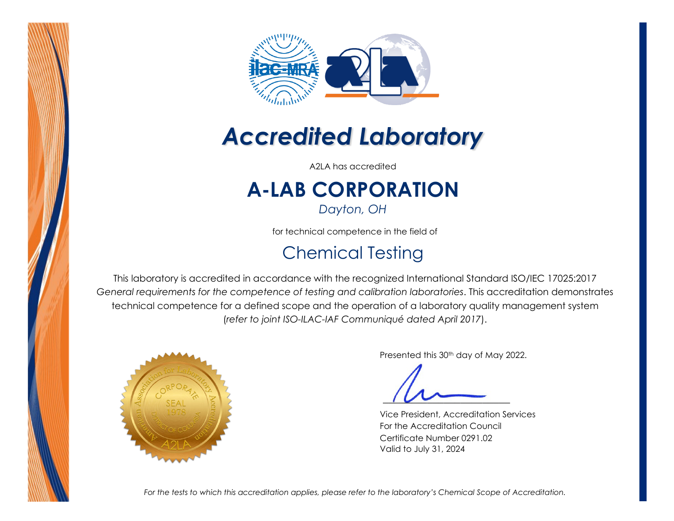



## *Accredited Laboratory*

A2LA has accredited

# **A-LAB CORPORATION**

*Dayton, OH* 

for technical competence in the field of

### Chemical Testing

This laboratory is accredited in accordance with the recognized International Standard ISO/IEC 17025:2017 *General requirements for the competence of testing and calibration laboratories*. This accreditation demonstrates technical competence for a defined scope and the operation of a laboratory quality management system (*refer to joint ISO-ILAC-IAF Communiqué dated April 2017*).



Presented this 30<sup>th</sup> day of May 2022.

Vice President, Accreditation Services For the Accreditation Council Certificate Number 0291.02 Valid to July 31, 2024

*For the tests to which this accreditation applies, please refer to the laboratory's Chemical Scope of Accreditation.*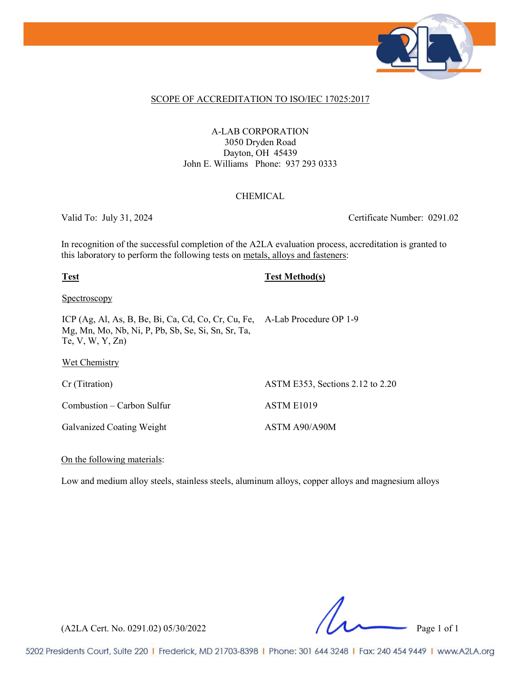

#### SCOPE OF ACCREDITATION TO ISO/IEC 17025:2017

A-LAB CORPORATION 3050 Dryden Road Dayton, OH 45439 John E. Williams Phone: 937 293 0333

#### CHEMICAL

Valid To: July 31, 2024 Certificate Number: 0291.02

In recognition of the successful completion of the A2LA evaluation process, accreditation is granted to this laboratory to perform the following tests on metals, alloys and fasteners:

**Test Test Method(s)**

**Spectroscopy** 

ICP (Ag, Al, As, B, Be, Bi, Ca, Cd, Co, Cr, Cu, Fe, A-Lab Procedure OP 1-9 Mg, Mn, Mo, Nb, Ni, P, Pb, Sb, Se, Si, Sn, Sr, Ta, Te, V, W, Y, Zn)

Wet Chemistry

Cr (Titration) ASTM E353, Sections 2.12 to 2.20

Combustion – Carbon Sulfur ASTM E1019

Galvanized Coating Weight ASTM A90/A90M

On the following materials:

Low and medium alloy steels, stainless steels, aluminum alloys, copper alloys and magnesium alloys

(A2LA Cert. No. 0291.02) 05/30/2022 Page 1 of 1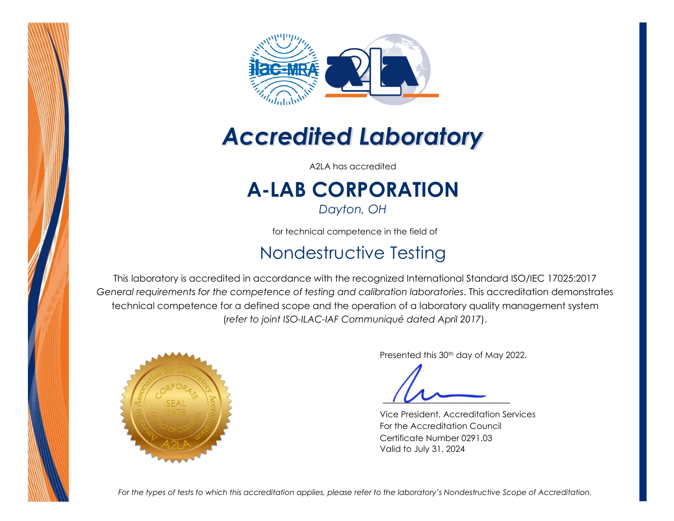



## *Accredited Laboratory*

A2LA has accredited

# **A-LAB CORPORATION**

*Dayton, OH* 

for technical competence in the field of

### Nondestructive Testing

This laboratory is accredited in accordance with the recognized International Standard ISO/IEC 17025:2017 *General requirements for the competence of testing and calibration laboratories*. This accreditation demonstrates technical competence for a defined scope and the operation of a laboratory quality management system (*refer to joint ISO-ILAC-IAF Communiqué dated April 2017*).



Presented this 30<sup>th</sup> day of May 2022.

Vice President, Accreditation Services For the Accreditation Council Certificate Number 0291.03 Valid to July 31, 2024

*For the types of tests to which this accreditation applies, please refer to the laboratory's Nondestructive Scope of Accreditation.*